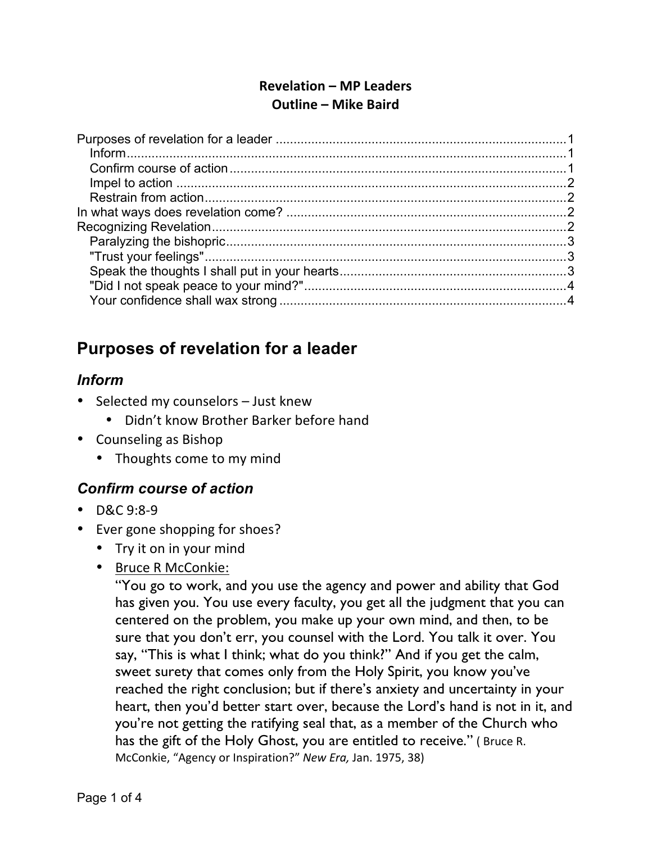### **Revelation – MP Leaders Outline – Mike Baird**

## **Purposes of revelation for a leader**

### *Inform*

- Selected my counselors  $-$  Just knew
	- Didn't know Brother Barker before hand
- Counseling as Bishop
	- Thoughts come to my mind

#### *Confirm course of action*

- D&C 9:8-9
- Ever gone shopping for shoes?
	- Try it on in your mind
	- Bruce R McConkie:

"You go to work, and you use the agency and power and ability that God has given you. You use every faculty, you get all the judgment that you can centered on the problem, you make up your own mind, and then, to be sure that you don't err, you counsel with the Lord. You talk it over. You say, "This is what I think; what do you think?" And if you get the calm, sweet surety that comes only from the Holy Spirit, you know you've reached the right conclusion; but if there's anxiety and uncertainty in your heart, then you'd better start over, because the Lord's hand is not in it, and you're not getting the ratifying seal that, as a member of the Church who has the gift of the Holy Ghost, you are entitled to receive." (Bruce R. McConkie, "Agency or Inspiration?" New Era, Jan. 1975, 38)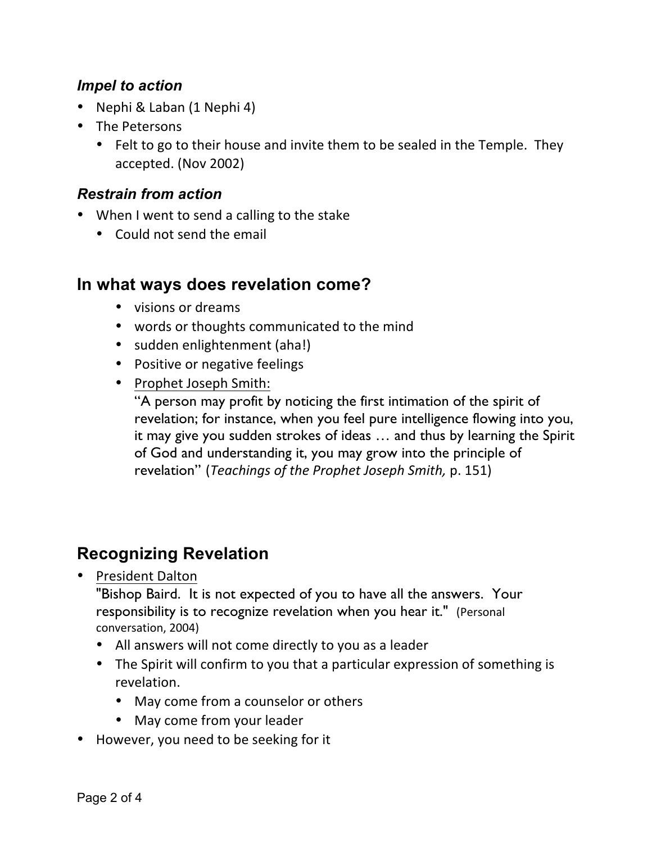### *Impel to action*

- Nephi & Laban (1 Nephi 4)
- The Petersons
	- Felt to go to their house and invite them to be sealed in the Temple. They accepted. (Nov 2002)

### *Restrain from action*

- When I went to send a calling to the stake
	- Could not send the email

## **In what ways does revelation come?**

- visions or dreams
- words or thoughts communicated to the mind
- sudden enlightenment (aha!)
- Positive or negative feelings
- Prophet Joseph Smith:

"A person may profit by noticing the first intimation of the spirit of revelation; for instance, when you feel pure intelligence flowing into you, it may give you sudden strokes of ideas … and thus by learning the Spirit of God and understanding it, you may grow into the principle of revelation" (*Teachings of the Prophet Joseph Smith*, p. 151)

# **Recognizing Revelation**

• President Dalton

"Bishop Baird. It is not expected of you to have all the answers. Your responsibility is to recognize revelation when you hear it." (Personal conversation, 2004)

- All answers will not come directly to you as a leader
- The Spirit will confirm to you that a particular expression of something is revelation.
	- May come from a counselor or others
	- May come from your leader
- However, you need to be seeking for it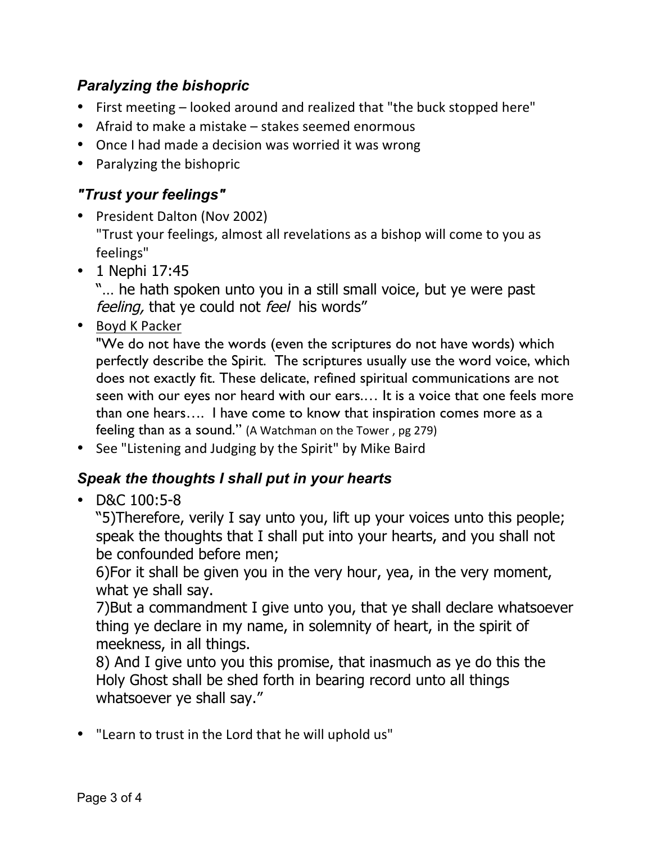## *Paralyzing the bishopric*

- First meeting looked around and realized that "the buck stopped here"
- Afraid to make a mistake  $-$  stakes seemed enormous
- Once I had made a decision was worried it was wrong
- Paralyzing the bishopric

### *"Trust your feelings"*

- President Dalton (Nov 2002) "Trust your feelings, almost all revelations as a bishop will come to you as feelings"
- 1 Nephi 17:45

"… he hath spoken unto you in a still small voice, but ye were past feeling, that ye could not feel his words"

• Boyd K Packer

"We do not have the words (even the scriptures do not have words) which perfectly describe the Spirit. The scriptures usually use the word voice, which does not exactly fit. These delicate, refined spiritual communications are not seen with our eyes nor heard with our ears.… It is a voice that one feels more than one hears…. I have come to know that inspiration comes more as a feeling than as a sound." (A Watchman on the Tower, pg 279)

• See "Listening and Judging by the Spirit" by Mike Baird

## *Speak the thoughts I shall put in your hearts*

• D&C 100:5-8

"5)Therefore, verily I say unto you, lift up your voices unto this people; speak the thoughts that I shall put into your hearts, and you shall not be confounded before men;

6)For it shall be given you in the very hour, yea, in the very moment, what ye shall say.

7)But a commandment I give unto you, that ye shall declare whatsoever thing ye declare in my name, in solemnity of heart, in the spirit of meekness, in all things.

8) And I give unto you this promise, that inasmuch as ye do this the Holy Ghost shall be shed forth in bearing record unto all things whatsoever ye shall say."

• "Learn to trust in the Lord that he will uphold us"